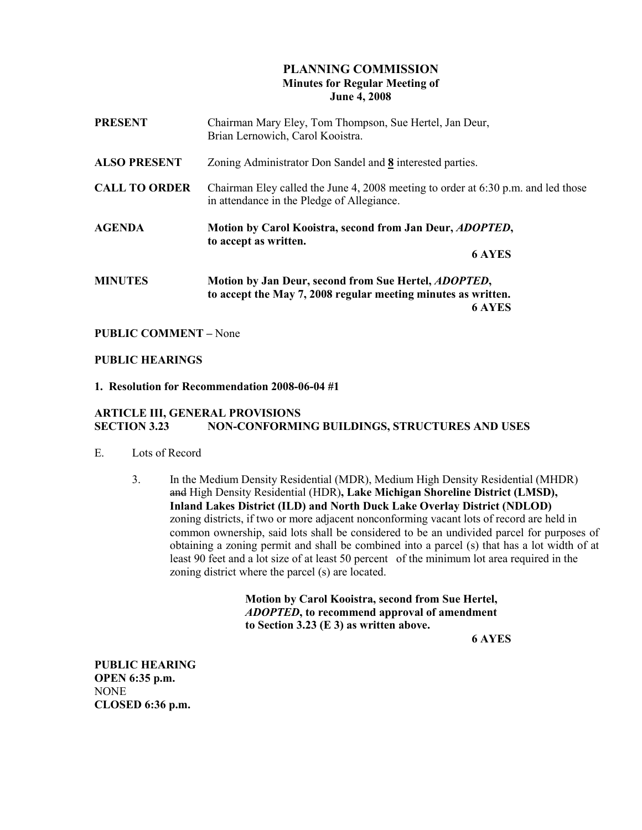## PLANNING COMMISSION Minutes for Regular Meeting of June 4, 2008

| <b>PRESENT</b>       | Chairman Mary Eley, Tom Thompson, Sue Hertel, Jan Deur,<br>Brian Lernowich, Carol Kooistra.                                             |
|----------------------|-----------------------------------------------------------------------------------------------------------------------------------------|
| <b>ALSO PRESENT</b>  | Zoning Administrator Don Sandel and 8 interested parties.                                                                               |
| <b>CALL TO ORDER</b> | Chairman Eley called the June 4, 2008 meeting to order at $6:30$ p.m. and led those<br>in attendance in the Pledge of Allegiance.       |
| <b>AGENDA</b>        | Motion by Carol Kooistra, second from Jan Deur, <i>ADOPTED</i> ,<br>to accept as written.<br><b>6 AYES</b>                              |
| <b>MINUTES</b>       | Motion by Jan Deur, second from Sue Hertel, <i>ADOPTED</i> ,<br>to accept the May 7, 2008 regular meeting minutes as written.<br>6 AYES |

#### PUBLIC COMMENT – None

#### PUBLIC HEARINGS

#### 1. Resolution for Recommendation 2008-06-04 #1

#### ARTICLE III, GENERAL PROVISIONS NON-CONFORMING BUILDINGS, STRUCTURES AND USES

- E. Lots of Record
	- 3. In the Medium Density Residential (MDR), Medium High Density Residential (MHDR) and High Density Residential (HDR), Lake Michigan Shoreline District (LMSD), Inland Lakes District (ILD) and North Duck Lake Overlay District (NDLOD) zoning districts, if two or more adjacent nonconforming vacant lots of record are held in common ownership, said lots shall be considered to be an undivided parcel for purposes of obtaining a zoning permit and shall be combined into a parcel (s) that has a lot width of at least 90 feet and a lot size of at least 50 percent of the minimum lot area required in the zoning district where the parcel (s) are located.

 Motion by Carol Kooistra, second from Sue Hertel, ADOPTED, to recommend approval of amendment to Section 3.23 (E 3) as written above.

6 AYES

PUBLIC HEARING OPEN 6:35 p.m. NONE CLOSED 6:36 p.m.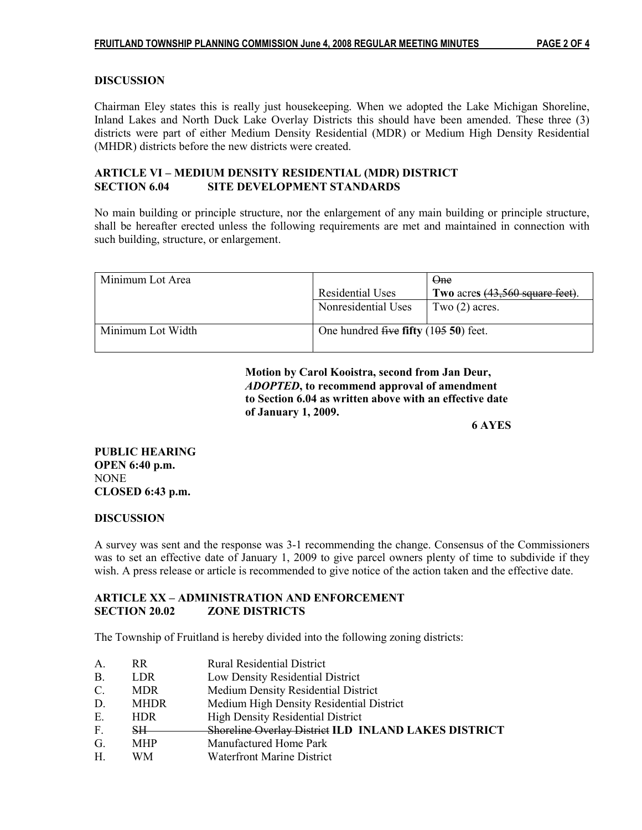# **DISCUSSION**

Chairman Eley states this is really just housekeeping. When we adopted the Lake Michigan Shoreline, Inland Lakes and North Duck Lake Overlay Districts this should have been amended. These three (3) districts were part of either Medium Density Residential (MDR) or Medium High Density Residential (MHDR) districts before the new districts were created.

### ARTICLE VI – MEDIUM DENSITY RESIDENTIAL (MDR) DISTRICT SECTION 6.04 SITE DEVELOPMENT STANDARDS

No main building or principle structure, nor the enlargement of any main building or principle structure, shall be hereafter erected unless the following requirements are met and maintained in connection with such building, structure, or enlargement.

| Minimum Lot Area  |                                        | One                             |
|-------------------|----------------------------------------|---------------------------------|
|                   | Residential Uses                       | Two acres (43,560 square feet). |
|                   | Nonresidential Uses                    | Two $(2)$ acres.                |
| Minimum Lot Width | One hundred five fifty $(10550)$ feet. |                                 |

 Motion by Carol Kooistra, second from Jan Deur, ADOPTED, to recommend approval of amendment to Section 6.04 as written above with an effective date of January 1, 2009.

6 AYES

PUBLIC HEARING OPEN 6:40 p.m. NONE CLOSED 6:43 p.m.

### **DISCUSSION**

A survey was sent and the response was 3-1 recommending the change. Consensus of the Commissioners was to set an effective date of January 1, 2009 to give parcel owners plenty of time to subdivide if they wish. A press release or article is recommended to give notice of the action taken and the effective date.

## ARTICLE XX – ADMINISTRATION AND ENFORCEMENT SECTION 20.02 ZONE DISTRICTS

The Township of Fruitland is hereby divided into the following zoning districts:

- A. RR Rural Residential District
- B. LDR Low Density Residential District
- C. MDR Medium Density Residential District
- D. MHDR Medium High Density Residential District
- E. HDR High Density Residential District
- F. SH Shoreline Overlay District ILD INLAND LAKES DISTRICT
- G. MHP Manufactured Home Park<br>H. WM Waterfront Marine District
- H. WM Waterfront Marine District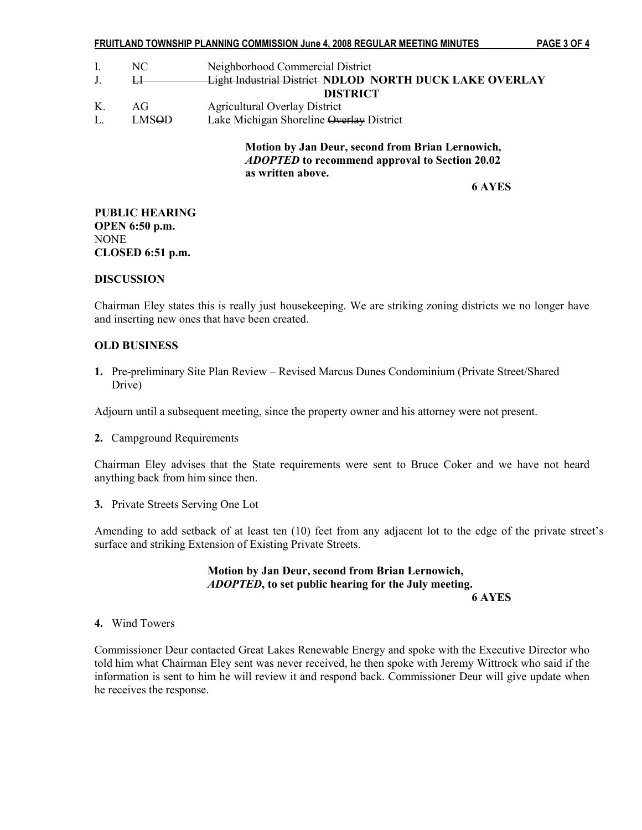|    |       | FRUITLAND TOWNSHIP PLANNING COMMISSION June 4, 2008 REGULAR MEETING MINUTES                                                    | PAGE 3 OF 4 |
|----|-------|--------------------------------------------------------------------------------------------------------------------------------|-------------|
| I. | NC.   | Neighborhood Commercial District                                                                                               |             |
|    | Н     | <b>Light Industrial District NDLOD NORTH DUCK LAKE OVERLAY</b>                                                                 |             |
|    |       | <b>DISTRICT</b>                                                                                                                |             |
| Κ. | AG    | <b>Agricultural Overlay District</b>                                                                                           |             |
| L. | LMSOD | Lake Michigan Shoreline Overlay District                                                                                       |             |
|    |       | Motion by Jan Deur, second from Brian Lernowich,<br><i>ADOPTED</i> to recommend approval to Section 20.02<br>as written above. |             |

6 AYES

### PUBLIC HEARING OPEN 6:50 p.m. NONE CLOSED 6:51 p.m.

### **DISCUSSION**

Chairman Eley states this is really just housekeeping. We are striking zoning districts we no longer have and inserting new ones that have been created.

#### OLD BUSINESS

1. Pre-preliminary Site Plan Review – Revised Marcus Dunes Condominium (Private Street/Shared Drive)

Adjourn until a subsequent meeting, since the property owner and his attorney were not present.

2. Campground Requirements

Chairman Eley advises that the State requirements were sent to Bruce Coker and we have not heard anything back from him since then.

3. Private Streets Serving One Lot

Amending to add setback of at least ten (10) feet from any adjacent lot to the edge of the private street's surface and striking Extension of Existing Private Streets.

 Motion by Jan Deur, second from Brian Lernowich, ADOPTED, to set public hearing for the July meeting. 6 AYES

## 4. Wind Towers

Commissioner Deur contacted Great Lakes Renewable Energy and spoke with the Executive Director who told him what Chairman Eley sent was never received, he then spoke with Jeremy Wittrock who said if the information is sent to him he will review it and respond back. Commissioner Deur will give update when he receives the response.